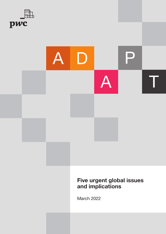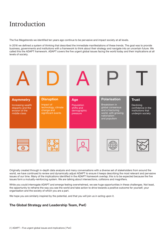# Introduction

The five Megatrends we identified ten years ago continue to be pervasive and impact society at all levels.

In 2016 we defined a system of thinking that described the immediate manifestations of these trends. The goal was to provide business, governments and institutions with a framework to think about their strategy and navigate into an uncertain future. We called this the ADAPT framework. ADAPT covers the five urgent global issues facing the world today and their implications at all levels of society.



Originally created through in-depth data analysis and many conversations with a diverse set of stakeholders from around the world, we have continued to review and dynamically adjust ADAPT to ensure it keeps describing the most relevant and pervasive issues of our time. Many of the implications identified in the ADAPT framework overlap; this is to be expected because the five issues form a mutually-reinforcing system. We are talking about intersections, collisions and magnifiers.

While you could interrogate ADAPT and emerge feeling overwhelmed, we see huge opportunities in these challenges. Not least, the opportunity to reframe the way you see the world and take action to drive towards a positive outcome for yourself, your organisation and the society of which you are a part.

We hope you are similarly inspired by the potential, and that you will join us in acting upon it.

# The Global Strategy and Leadership Team, PwC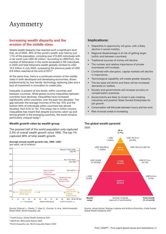# Asymmetry

# Increasing wealth disparity and the erosion of the middle class

Global wealth disparity has reached such a significant level that, as of 2020, 46% of the world's wealth was held by just 1.1% of the population, including over 215,000 individuals with a net worth over USD 50 million.<sup>1</sup> According to UBS/PwC, the number of billionaires in the world exceeded 2,100 individuals in 2020 and total billionaire wealth globally climbed to USD 10.2 trillion in July 2020, surpassing the previous peak of USD 8.9 trillion reached at the end of 2017.<sup>2</sup>

At the same time, there is a continued erosion of the middle class in both developed and developing economies, driven predominantly by two trends: technology replacing jobs and a lack of investment in innovation to create jobs.

Inequality is present at two levels: within countries and between countries. While global income inequalities between countries have declined, inequalities have increased significantly within countries, over the past two decades. The gap between the average incomes of the top 10% and the bottom 50% of individuals within countries has almost doubled, from 8.5x to 15x. This sharp rise in within-country inequalities has meant that despite economic catch-up and strong growth in the emerging countries, the world remains particularly unequal today.3

#### Wealth growth rates by wealth group

The poorest half of the world population only captured 2.3% of overall wealth growth since 1995. The top 1% captured 38% of total wealth growth.

| Average annual wealth growth rate, 1995–2021 |  |
|----------------------------------------------|--|
| (per adult, net of inflation)                |  |



Source: Chancel, L., Piketty, T., Saez, E., Zucman, G. et al., World Inequality Report 2022, World Inequality Lab

2 UBS/PwC, Billionaires Report 2020

3 World Inequality Lab, World Inequality Report 2022

### Implications:

- Disparities in opportunity will grow, with a likely decline in social mobility.
- Regional disadvantage is at risk of getting larger (within and between countries).
- Traditional sources of money will decline.
- The number and relative importance of private businesses will increase.
- Combined with disruption, capital markets will decline in importance.
- Technological capability will create greater disparity.
- The tax base will shrink and there will be increased demands on welfare.
- Society and governments will increase scrutiny on compensation practices.
- Governments are likely to invest in job-creating industries and position State Owned Enterprises for job growth.
- Consumption will bifurcate between luxury and low-end.
- Risk of social unrest is increasing.

# The global wealth pyramid



Source: James Davies, Rodrigo Lluberas and Anthony Shorrocks, Credit Suisse Global Wealth Databook 2021

<sup>1</sup> Credit Suisse, Global Wealth Databook 2021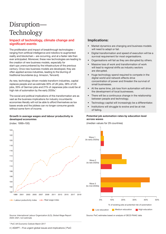# Disruption— Technology

# Impact of technology, climate change and significant events

The proliferation and impact of breakthrough technologies – ranging from artificial intelligence and robotics to augmented reality and blockchain – are occurring, and at a faster rate than ever anticipated. Moreover, these new technologies are leading to the creation of new business models, especially for start-ups unencumbered by the infrastructure of the previous century. Once new business models are developed, they are often applied across industries, leading to the blurring of traditional boundaries (e.g. Amazon, Tencent).

As new, technology-driven models transform industries, capital replaces people and we estimate 30% of UK jobs, 38% of US jobs, 35% of German jobs and 21% of Japanese jobs could be at high risk of automation by the early 2030s.<sup>1</sup>

The social and political implications of this transformation are as vast as the business implications for industry incumbents: economies literally will not be able to afford themselves as tax bases erode and the jobless can no longer consume goods without some form of income.

#### Growth in average wages and labour productivity in developed economies

(index: 1999=100)



# Implications:

- Market dynamics are changing and business models will need to adapt or fail.
- Digital transformation and speed of execution will be a survival requirement for most organisations.
- Organisations will fail as they are disrupted by others.
- Massive loss of work and transformation of work will lead to regional shifts as industry sectors are disrupted.
- Huge technology spend required to compete in the digital world and network effects drive concentration of power and threaten the survival of small businesses.
- At the same time, job loss from automation will drive the development of local businesses.
- There will be a continuous change in the relationship between people and technology.
- Technology capital will increasingly be a differentiator.
- Institutions will struggle to evolve and be at risk of failing.

#### Potential job automation rates by education level across waves

(median values for 29 countries)



Source: International Labour Organization (ILO), Global Wage Report 2020–2021, ILO estimate

Source: PwC estimates based on analysis of OECD PIAAC data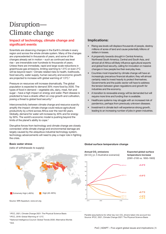# Disruption— Climate change

# Impact of technology, climate change and significant events

Scientists are observing changes in the Earth's climate in every region and across the whole climate system. Many of the changes are unprecedented in thousands of years, and some of the changes already set in motion – such as continued sea level rise – are irreversible over hundreds to thousands of years. Unless there are immediate, rapid and large-scale reductions in greenhouse gas emissions, limiting warming to 1.5°C or even 2°C will be beyond reach.<sup>1</sup> Climate-related risks to health, livelihoods, food security, water supply, human security and economic growth are projected to increase with global warming of 1.5°C.<sup>2</sup>

Pressure on resources will increase dramatically. The global population is expected to demand 35% more food by 2030. The types of food in demand – vegetable oils, dairy, meat, fish and sugar – have a high impact on energy and water. Plant disease is predicted to have a drastic effect on crop growth and cultivation, posing a threat to global food security.3

Interconnectivity between climate change and resource scarcity amplify the impact: climate change could reduce agricultural productivity by a third across Africa over the next 60 years. Globally, demand for water will increase by 40% and for energy by 50%. The world's economic model is pushing beyond the limits of the planet's ability to cope.4

Disruptive forces from technology and climate change are closely connected: while climate change and environmental damage are largely caused by the ubiquitous industrial technology system, technology advancements will need to play a major role in fighting the crisis.

# Implications:

- Rising sea levels will displace thousands of people, destroy millions of acres of land and cause potentially trillions of dollars in losses.
- A propensity towards drought in Central America, Northwest South America, Central and South Asia, and almost all of Africa will likely influence agricultural exports and global food security, calling for innovation or massive changes in how people live their everyday lives.
- Countries most impacted by climate change will have an increasingly precarious financial situation; they will almost certainly need to invest heavily to protect themselves. Governments and the public sector will have to address the tension between green regulations and growth for industries and the economy.
- A transition to renewable energy will be demanded but will require more time and funding than is available.
- Healthcare systems may struggle with an increased risk of pandemics, perhaps from previously unknown diseases.
- Investment in climate tech will experience strong growth, leading to an increasing number of jobs in green industries.

#### Basic water stress

(ratio of withdrawals to supply)



Source: WRI Aqueduct, www.wri.org

1 IPCC, 2021, Climate Change 2021: The Physical Science Basis

2 IPCC, 2018: Global Warming of 1.5°C

3 National Intelligence Council: Global Trends 2030: Alternative Worlds 4 ibid.

#### Global surface temperature change



Parallel assumptions for other key non-CO<sub>2</sub> drivers taken into account too Source: IPCC, 2021, Climate Change 2021: The Physical Science Basis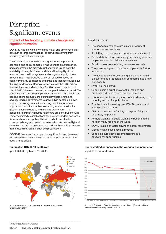# Disruption— Significant events

# Impact of technology, climate change and significant events

COVID-19 has shown the world that major one-time events can have just as large an impact as the disruption coming from technology and climate change.

The COVID-19 pandemic has wrought enormous personal, economic and social damage. It has upended countless lives, and exacerbated the many disruptions afoot, laying bare the unviability of many business models and the fragility of our economic and political systems and our global supply chains. Beyond that, it has provided a new set of acute shocks to seemingly sturdy businesses and principles that have guided our thinking for decades. Having resulted in more than 435 million known infections and more than 5 million known deaths as of March 2022,<sup>1</sup> the new coronavirus is unpredictable and lethal. The pandemic has caused a supply shock and a demand shock. It is causing economic turbulence of indeterminate length and severity, leading governments to grow public debt to unknown levels. It is stoking competition among countries to secure supplies and vaccines, while also serving as an occasion for greater national solidarity and regional cooperation. The pandemic is primarily a public healthcare problem, but one with immense immediate implications for business, and for economic, fiscal, and monetary policy. This virus is both accelerating powerful existing trends (such as automation and inequality) and slamming the brakes on trends that had, until recently, possessed tremendous momentum (such as globalisation).

COVID-19 is one such example of a significant, disruptive event. Armed conflicts, natural disasters or other incidents could have equally large effects.

#### Cumulative COVID-19 death rate

(per 100,000), by March 11, 2022



Source: WHO COVID-19 Dashboard. Geneva: World Health Organization, 2020

### Implications:

- The pandemic lays bare pre-existing fragility of economies and societies.
- It is hitting poor people, and poor countries hardest.
- Public debt is rising dramatically, increasing pressure on pensions and social welfare systems.
- Small businesses are failing on a massive scale.
- The power of big tech platform companies is further increasing.
- The acceptance of e-everything (including e-health, e-government, e-education, e-commerce) has grown significantly
- Cyber risk has grown.
- Supply chain disruptions affect all regions and products and drive record levels of inflation.
- Economies are becoming more localized owing to the reconfiguration of supply chains.
- Polarisation is increasing over COVID containment and vaccine mandates.
- Distrust in institutions' ability to respond fairly and effectively is growing.
- Remote working / flexible working is becoming the norm in many regions of the world.
- COVID is a major factor driving the great resignation.
- Mental health issues have exploded.
- School closures have accentuated unequal educational opportunities.

Hours worked per person in the working-age population (aged 15 to 64) worldwide



Source: ILO Monitor: COVID-19 and the world of work (Seventh edition), International Labour Organization, 2021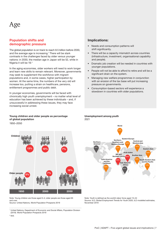# Age

# Population shifts and demographic pressure

The global population is on track to reach 8.5 billion before 2030, and the average age is increasing.<sup>1</sup> There will be stark contrasts in the challenges faced by older versus younger nations: in 2030, the median age in Japan will be 52, while in Nigeria it will be 19.2

In the aging economies, older workers will need to work longer and learn new skills to remain relevant. Moreover, governments may seek to supplement the workforce with migrant populations and, in some cases, higher participation by women. At the same time, the numbers of the very old will increase too, putting a strain on healthcare, pensions, entitlement programmes and public debt.

In younger economies, governments will be faced with chronically high youth unemployment – no matter what level of education has been achieved by these individuals – and, if unsuccessful in addressing these issues, they may face increasing social unrest.

# Young children and older people as percentage of global population

1950–2050



Note: Young children are those aged 0–4; older people are those aged 65 and over.

Source: United Nations, World Population Prospects 2019

<sup>1</sup> United Nations, Department of Economic and Social Affairs, Population Division (2019). World Population Prospects 2019

<sup>2</sup> ibid.

# Implications:

- Needs and consumption patterns will shift significantly.
- There will be a capacity mismatch across countries (infrastructure, investment, organisational capability and people).
- Dramatic job creation will be needed in countries with younger populations.
- People will not be able to afford to retire and will be a significant drain on the system.
- Managing new welfare programmes in conjunction with an erosion of the tax base will put increasing pressure on governments.
- Consumption-based sectors will experience a slowdown in countries with older populations.





Note: Youth is defined as the world's labor force aged 15–24 Source: ILO, Global Employment Trends for Youth 2020, ILO modelled estimates, November 2019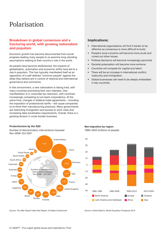# Polarisation

# Breakdown in global consensus and a fracturing world, with growing nationalism and populism

Economic growth has become disconnected from social progress leading many people to re-examine long-standing assumptions relating to their country's role in the world.

As people have become disillusioned, the impacts of globalisation, automation and economic shifts have led to a rise in populism. This has typically manifested itself as an opposition of a self-defined "common people" against the elites they believe are in control of national and international governance and commerce.

In this environment, a new nationalism is taking hold, with many countries prioritising their own interests. One manifestation is in corporate tax reduction, with countries increasingly competing to lure back corporations. At the same time, changes in bilateral trade agreements – including the imposition of protectionist tariffs – will cause companies to re-think their manufacturing practices. Many governments are restricting immigration and access to work visas and increasing data-localisation requirements. Overall, there is a growing tension in cross-border business.

Number of discriminatory interventions imposed Nov 2008–Oct 2021



Source: The 28th Global Trade Alert Report, St.Gallen Endowment

### Implications:

- International organisations will find it harder to be effective as consensus is more difficult to build.
- People's local concerns will become more acute and crowd out other issues.
- Political decisions will become increasingly parochial.
- Societal polarisation will become more extreme.
- Countries will compete for capital and talent.
- There will be an increase in international conflict, insecurity and immigration.
- Global businesses will need to be deeply embedded in key countries.



Protectionism by the G20 Net migration by region

1980–2020 (millions of people)

Source: United Nations, World Population Prospects 2019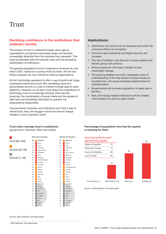# Trust

# Declining confidence in the institutions that underpin society

The erosion of trust in institutions began years ago as organisations and governments grew larger and became increasingly detached from the societies they represent. This trend accelerated with the financial crisis and the increasing politicisation of institutions.

The general population's trust in institutions remained at a low level in 2021, based on a survey of 28 countries. Almost twothirds of people are now inclined to distrust organisations.

At first, technology appeared to offer a way to build trust: large, impersonal institutions could offer something close to a personalised service or a way to interact through peer-to-peer platforms. However, as we learn more about the implications of technology, trust is increasingly eroding. Data security breaches, the manipulation of social media and the spread of fake news are all leading individuals to question the organisations responsible.

If governments, business and institutions can't find a way to rebuild trust, they will struggle to drive the level of change needed in such a dynamic world.

### Implications:

- Institutions will continue to be devalued and suffer the corrosive effects of corruption.
- Concerns about personal and digital security will increase.
- The rise of tribalism and distrust of those outside own identity group will continue.
- Rising scepticism will make it harder to drive meaningful change.
- The growing debate over truth, alongside a lack of understanding of the real impact of social media on societal trust, will cause increased opportunities for misinformation.
- Governments will increase regulations to keep data in territory.
- New, technology-based institutions will be created, many based on a peer-to-peer model.

# Trust index: average trust in institutions

(government, business, NGO and media)



#### Percentage of population who feel the system is working for them

#### How true is this for you?



Source: 2020 Edelman Trust Barometer

Source: 2022 Edelman Trust Barometer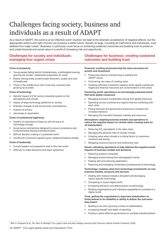# Challenges facing society, business and individuals as a result of ADAPT

As a result of ADAPT, the world is at an inflection point: inaction will lead to the dramatic acceleration of negative effects, but the appropriate actions and right choices can produce a better future. Society at large, including its institutions and individuals, must address four major crises.<sup>1</sup> Business, in particular, must focus on achieving sustained outcomes and building trust to preserve and create financial and social value in a world of increasing risk and opportunity.

# Challenges for society and individuals: managing four urgent crises

#### Crisis of prosperity

- Young people falling behind (indebtedness, unaffordable housing, growing tax burden, inadequate preparation for work)
- Elderly retiring broke (underfunded retirement, quality and cost of healthcare)
- Those in the middle stuck (risk of job loss, parental care, growing tax burden)

#### Crisis of technology

- Harmful impact of 21st century industrial system on the atmosphere and climate
- Impact of large technology platforms on society
- Dramatic changes to the human brain and behaviour
- Invasion of privacy
- Job losses to automation

#### Crisis of institutional legitimacy

- Inability of institutions to keep up with the pace of technology change
- Governance mechanisms designed to ensure consistency and trustworthiness slowing institutions down
- Difficult decision making in a polarised world
- Insufficient investment capacity given weakened balance sheets

#### Crisis of leadership

- Current leaders not prepared to lead in this new world
- Difficulty to make decisions and reach agreement

# Challenges for business: creating sustained outcomes and building trust

#### Financial: creating and preserving the value necessary for growth and investment

- Preserving value by transforming to address the ADAPT issues
- Uncovering new ways of creating value
- Creating sufficient investment capacity while capital markets are fragile and financial resources are concentrated in a few areas

#### Fracturing world: operating in an increasingly polarised world that lacks global consensus

- Managing business complexities arising from global fracturing
- Operating across countries and regions that are conflicting with each other
- Facing business and government pressures to localise and increase resilience
- Managing the mismatch between markets and resources

#### Atmosphere: adapting business models and operations to reduce the negative impact on climate while creating value for all stakeholders

- Reducing CO<sub>2</sub> equivalents in the value chain
- Managing the physical risks of climate change
- Creating value when climate is a critical factor to customers, investors and society
- Mitigating resource scarcity and biodiversity loss

#### Social: rethinking operations to help address the negative social impacts of business models and decisions

- Reducing systemic inequality
- Managing issues arising from demographic trends
- Dealing with and reducing polarisation
- Reducing and managing unintended consequences of technology

#### Technology: creating value from technology investments via new business models, products and services

- Dealing with massive industry disruption and leveraging sector-specific technology
- Competing in a post-digital world
- Increasing efficiency and effectiveness via technology
- Building organisational and individual capabilities to compete in a digital world

#### Trust: getting the organisation's important stakeholders to firmly believe in its reliability or ability to deliver the outcomes they expect

- Building trust with a growing number of stakeholders
- Increasing breadth and depth of reporting
- Putting in place effective governance on complex transformations

<sup>1</sup> Blair H. Sheppard et al., *Ten Years to Midnight: Four urgent crises and their strategic solutions (San Francisco: Berrett-Koehler Publishers, 2020)*